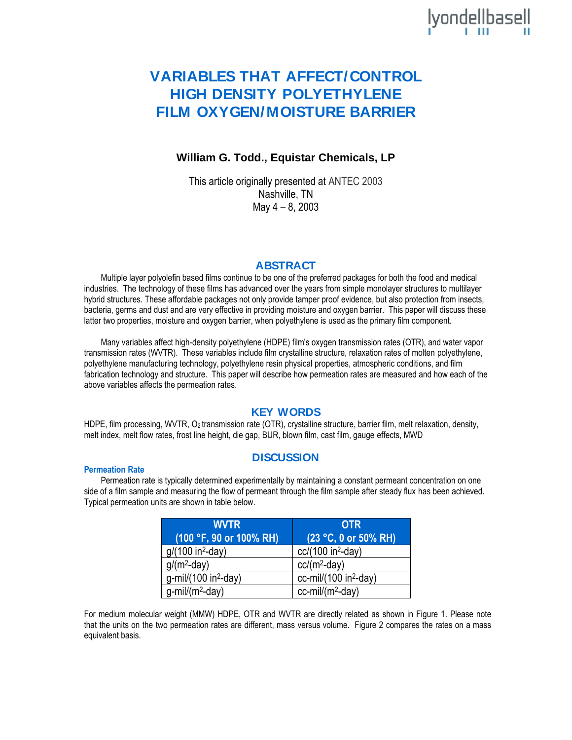# lyondellbasell

## **VARIABLES THAT AFFECT/CONTROL HIGH DENSITY POLYETHYLENE FILM OXYGEN/MOISTURE BARRIER**

## **William G. Todd., Equistar Chemicals, LP**

This article originally presented at ANTEC 2003 Nashville, TN May 4 – 8, 2003

## **ABSTRACT**

Multiple layer polyolefin based films continue to be one of the preferred packages for both the food and medical industries. The technology of these films has advanced over the years from simple monolayer structures to multilayer hybrid structures. These affordable packages not only provide tamper proof evidence, but also protection from insects, bacteria, germs and dust and are very effective in providing moisture and oxygen barrier. This paper will discuss these latter two properties, moisture and oxygen barrier, when polyethylene is used as the primary film component.

Many variables affect high-density polyethylene (HDPE) film's oxygen transmission rates (OTR), and water vapor transmission rates (WVTR). These variables include film crystalline structure, relaxation rates of molten polyethylene, polyethylene manufacturing technology, polyethylene resin physical properties, atmospheric conditions, and film fabrication technology and structure. This paper will describe how permeation rates are measured and how each of the above variables affects the permeation rates.

## **KEY WORDS**

HDPE, film processing, WVTR, O<sub>2</sub> transmission rate (OTR), crystalline structure, barrier film, melt relaxation, density, melt index, melt flow rates, frost line height, die gap, BUR, blown film, cast film, gauge effects, MWD

## **DISCUSSION**

#### **Permeation Rate**

Permeation rate is typically determined experimentally by maintaining a constant permeant concentration on one side of a film sample and measuring the flow of permeant through the film sample after steady flux has been achieved. Typical permeation units are shown in table below.

| <b>WVTR</b>                      | <b>OTR</b>                               |
|----------------------------------|------------------------------------------|
| (100 °F, 90 or 100% RH)          | $(23 °C, 0 \text{ or } 50\% \text{ RH})$ |
| $g/(100$ in <sup>2</sup> -day)   | $cc/(100$ in <sup>2</sup> -day)          |
| $g/(m^2$ -day)                   | $cc/(m^2$ -day)                          |
| g-mil/(100 in <sup>2</sup> -day) | cc-mil/ $(100 in2-day)$                  |
| $g$ -mil/(m <sup>2</sup> -day)   | $cc$ -mil/(m <sup>2</sup> -day)          |

For medium molecular weight (MMW) HDPE, OTR and WVTR are directly related as shown in Figure 1. Please note that the units on the two permeation rates are different, mass versus volume. Figure 2 compares the rates on a mass equivalent basis.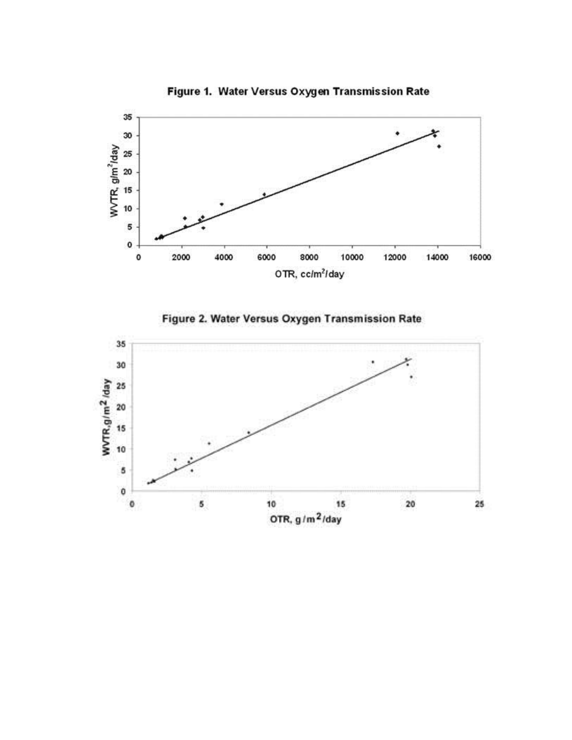

Figure 1. Water Versus Oxygen Transmission Rate



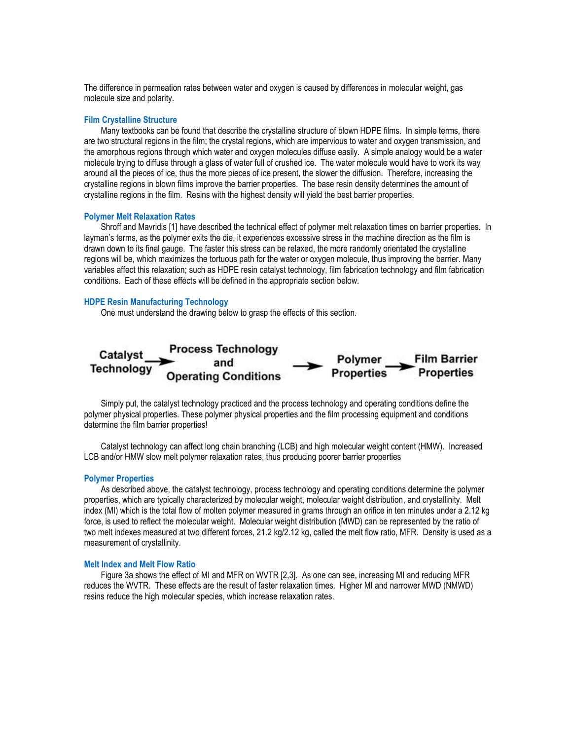The difference in permeation rates between water and oxygen is caused by differences in molecular weight, gas molecule size and polarity.

#### **Film Crystalline Structure**

Many textbooks can be found that describe the crystalline structure of blown HDPE films. In simple terms, there are two structural regions in the film; the crystal regions, which are impervious to water and oxygen transmission, and the amorphous regions through which water and oxygen molecules diffuse easily. A simple analogy would be a water molecule trying to diffuse through a glass of water full of crushed ice. The water molecule would have to work its way around all the pieces of ice, thus the more pieces of ice present, the slower the diffusion. Therefore, increasing the crystalline regions in blown films improve the barrier properties. The base resin density determines the amount of crystalline regions in the film. Resins with the highest density will yield the best barrier properties.

#### **Polymer Melt Relaxation Rates**

Shroff and Mavridis [1] have described the technical effect of polymer melt relaxation times on barrier properties. In layman's terms, as the polymer exits the die, it experiences excessive stress in the machine direction as the film is drawn down to its final gauge. The faster this stress can be relaxed, the more randomly orientated the crystalline regions will be, which maximizes the tortuous path for the water or oxygen molecule, thus improving the barrier. Many variables affect this relaxation; such as HDPE resin catalyst technology, film fabrication technology and film fabrication conditions. Each of these effects will be defined in the appropriate section below.

#### **HDPE Resin Manufacturing Technology**

One must understand the drawing below to grasp the effects of this section.



Simply put, the catalyst technology practiced and the process technology and operating conditions define the polymer physical properties. These polymer physical properties and the film processing equipment and conditions determine the film barrier properties!

Catalyst technology can affect long chain branching (LCB) and high molecular weight content (HMW). Increased LCB and/or HMW slow melt polymer relaxation rates, thus producing poorer barrier properties

#### **Polymer Properties**

As described above, the catalyst technology, process technology and operating conditions determine the polymer properties, which are typically characterized by molecular weight, molecular weight distribution, and crystallinity. Melt index (MI) which is the total flow of molten polymer measured in grams through an orifice in ten minutes under a 2.12 kg force, is used to reflect the molecular weight. Molecular weight distribution (MWD) can be represented by the ratio of two melt indexes measured at two different forces, 21.2 kg/2.12 kg, called the melt flow ratio, MFR. Density is used as a measurement of crystallinity.

#### **Melt Index and Melt Flow Ratio**

Figure 3a shows the effect of MI and MFR on WVTR [2,3]. As one can see, increasing MI and reducing MFR reduces the WVTR. These effects are the result of faster relaxation times. Higher MI and narrower MWD (NMWD) resins reduce the high molecular species, which increase relaxation rates.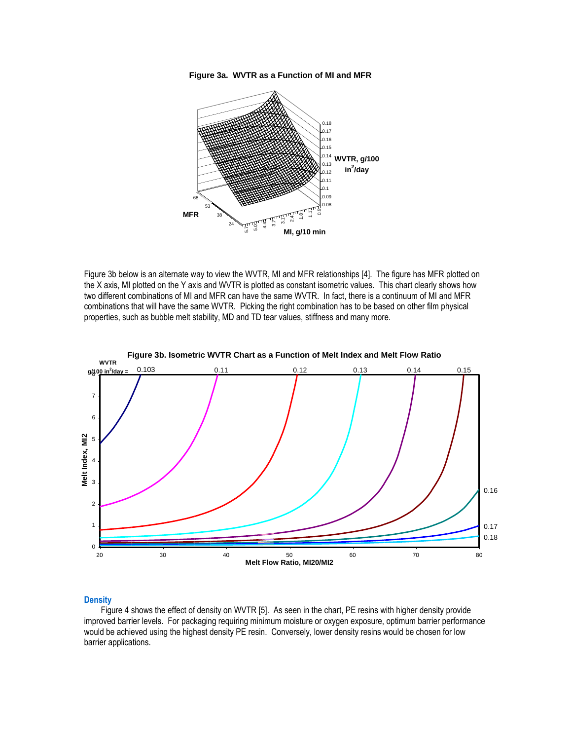



Figure 3b below is an alternate way to view the WVTR, MI and MFR relationships [4]. The figure has MFR plotted on the X axis, MI plotted on the Y axis and WVTR is plotted as constant isometric values. This chart clearly shows how two different combinations of MI and MFR can have the same WVTR. In fact, there is a continuum of MI and MFR combinations that will have the same WVTR. Picking the right combination has to be based on other film physical properties, such as bubble melt stability, MD and TD tear values, stiffness and many more.



#### **Density**

Figure 4 shows the effect of density on WVTR [5]. As seen in the chart, PE resins with higher density provide improved barrier levels. For packaging requiring minimum moisture or oxygen exposure, optimum barrier performance would be achieved using the highest density PE resin. Conversely, lower density resins would be chosen for low barrier applications.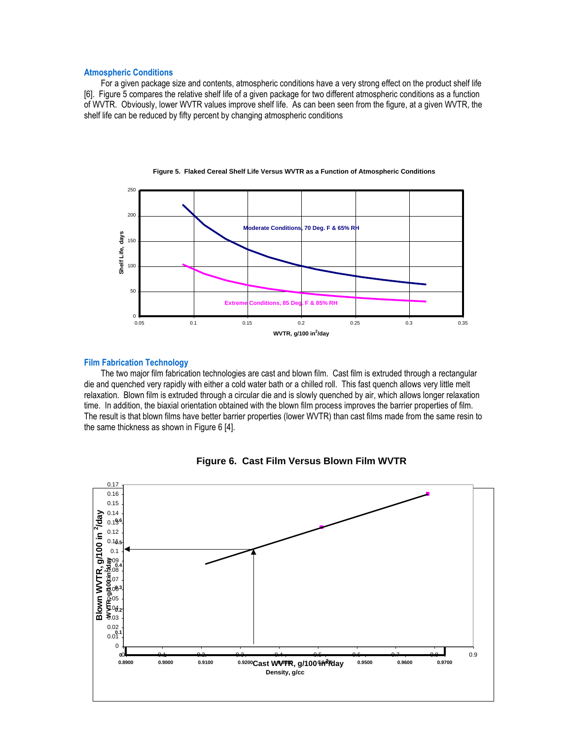#### **Atmospheric Conditions**

For a given package size and contents, atmospheric conditions have a very strong effect on the product shelf life [6]. Figure 5 compares the relative shelf life of a given package for two different atmospheric conditions as a function of WVTR. Obviously, lower WVTR values improve shelf life. As can been seen from the figure, at a given WVTR, the shelf life can be reduced by fifty percent by changing atmospheric conditions



 **Figure 5. Flaked Cereal Shelf Life Versus WVTR as a Function of Atmospheric Conditions**

#### **Film Fabrication Technology**

The two major film fabrication technologies are cast and blown film. Cast film is extruded through a rectangular die and quenched very rapidly with either a cold water bath or a chilled roll. This fast quench allows very little melt relaxation. Blown film is extruded through a circular die and is slowly quenched by air, which allows longer relaxation time. In addition, the biaxial orientation obtained with the blown film process improves the barrier properties of film. The result is that blown films have better barrier properties (lower WVTR) than cast films made from the same resin to the same thickness as shown in Figure 6 [4].



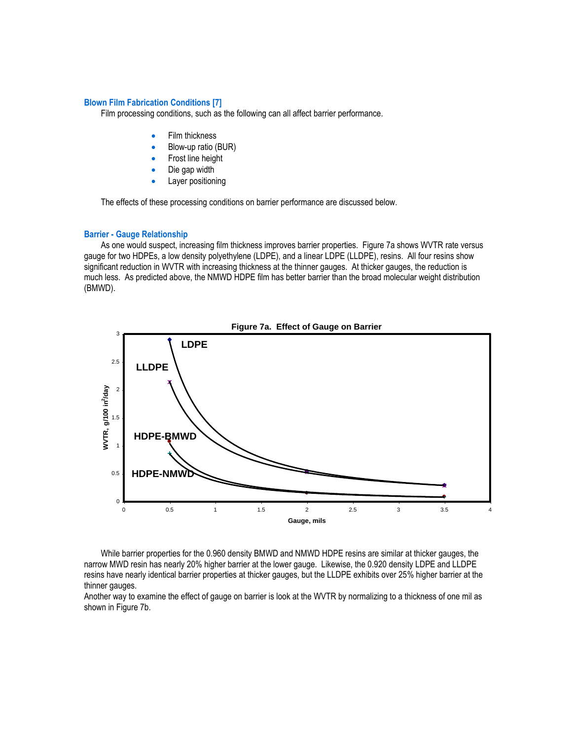#### **Blown Film Fabrication Conditions [7]**

Film processing conditions, such as the following can all affect barrier performance.

- Film thickness
- Blow-up ratio (BUR)
- Frost line height
- Die gap width
- Layer positioning

The effects of these processing conditions on barrier performance are discussed below.

#### **Barrier - Gauge Relationship**

As one would suspect, increasing film thickness improves barrier properties. Figure 7a shows WVTR rate versus gauge for two HDPEs, a low density polyethylene (LDPE), and a linear LDPE (LLDPE), resins. All four resins show significant reduction in WVTR with increasing thickness at the thinner gauges. At thicker gauges, the reduction is much less. As predicted above, the NMWD HDPE film has better barrier than the broad molecular weight distribution (BMWD).



While barrier properties for the 0.960 density BMWD and NMWD HDPE resins are similar at thicker gauges, the narrow MWD resin has nearly 20% higher barrier at the lower gauge. Likewise, the 0.920 density LDPE and LLDPE resins have nearly identical barrier properties at thicker gauges, but the LLDPE exhibits over 25% higher barrier at the thinner gauges.

Another way to examine the effect of gauge on barrier is look at the WVTR by normalizing to a thickness of one mil as shown in Figure 7b.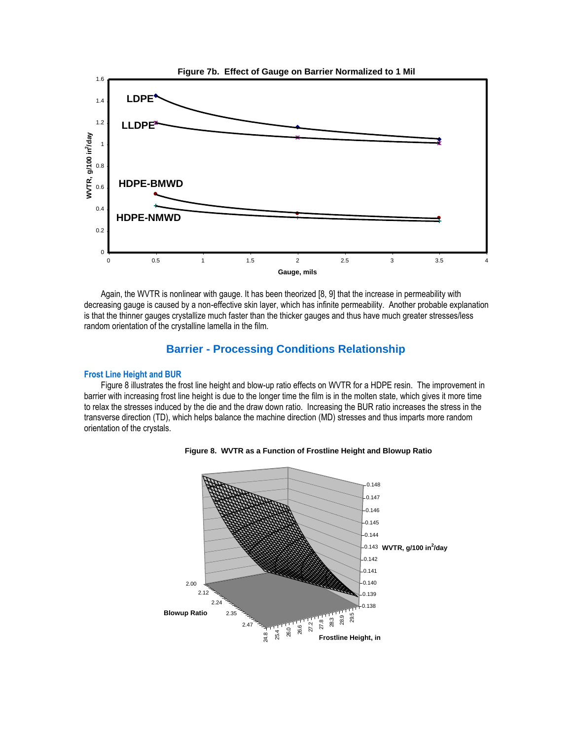

Again, the WVTR is nonlinear with gauge. It has been theorized [8, 9] that the increase in permeability with decreasing gauge is caused by a non-effective skin layer, which has infinite permeability. Another probable explanation is that the thinner gauges crystallize much faster than the thicker gauges and thus have much greater stresses/less random orientation of the crystalline lamella in the film.

## **Barrier - Processing Conditions Relationship**

#### **Frost Line Height and BUR**

Figure 8 illustrates the frost line height and blow-up ratio effects on WVTR for a HDPE resin. The improvement in barrier with increasing frost line height is due to the longer time the film is in the molten state, which gives it more time to relax the stresses induced by the die and the draw down ratio. Increasing the BUR ratio increases the stress in the transverse direction (TD), which helps balance the machine direction (MD) stresses and thus imparts more random orientation of the crystals.



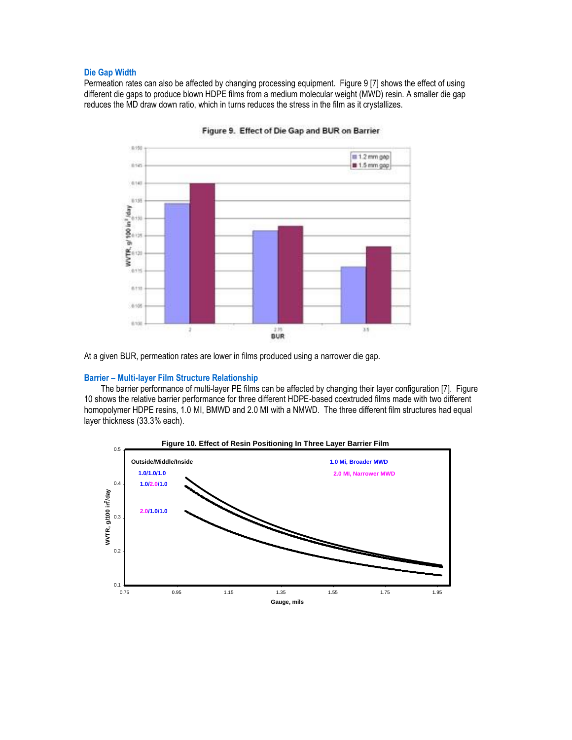#### **Die Gap Width**

Permeation rates can also be affected by changing processing equipment. Figure 9 [7] shows the effect of using different die gaps to produce blown HDPE films from a medium molecular weight (MWD) resin. A smaller die gap reduces the MD draw down ratio, which in turns reduces the stress in the film as it crystallizes.



Figure 9. Effect of Die Gap and BUR on Barrier



#### **Barrier – Multi-layer Film Structure Relationship**

The barrier performance of multi-layer PE films can be affected by changing their layer configuration [7]. Figure 10 shows the relative barrier performance for three different HDPE-based coextruded films made with two different homopolymer HDPE resins, 1.0 MI, BMWD and 2.0 MI with a NMWD. The three different film structures had equal layer thickness (33.3% each).